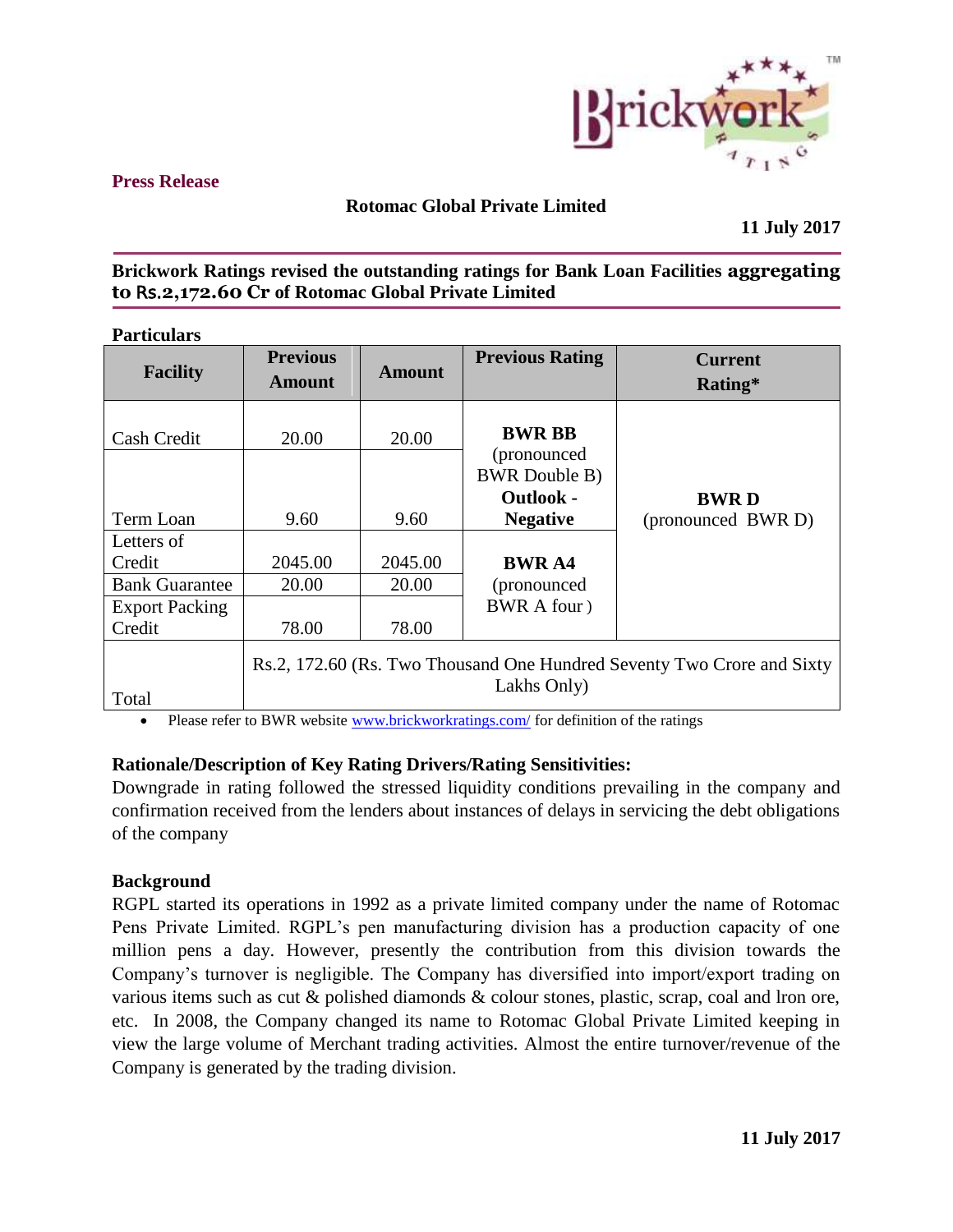

### **Press Release**

# **Rotomac Global Private Limited**

**11 July 2017**

# **Brickwork Ratings revised the outstanding ratings for Bank Loan Facilities aggregating to** Rs.**2,172.60 Cr of Rotomac Global Private Limited**

**Particulars** 

| <b>Facility</b>       | <b>Previous</b><br><b>Amount</b>                                                      | Amount  | <b>Previous Rating</b>                   | <b>Current</b><br>Rating* |  |
|-----------------------|---------------------------------------------------------------------------------------|---------|------------------------------------------|---------------------------|--|
| Cash Credit           | 20.00                                                                                 | 20.00   | <b>BWR BB</b><br>(pronounced)            |                           |  |
|                       |                                                                                       |         | <b>BWR</b> Double B)<br><b>Outlook -</b> | <b>BWRD</b>               |  |
| Term Loan             | 9.60                                                                                  | 9.60    | <b>Negative</b>                          | (pronounced BWR D)        |  |
| Letters of            |                                                                                       |         |                                          |                           |  |
| Credit                | 2045.00                                                                               | 2045.00 | <b>BWR A4</b>                            |                           |  |
| <b>Bank Guarantee</b> | 20.00                                                                                 | 20.00   | (pronounced)                             |                           |  |
| <b>Export Packing</b> |                                                                                       |         | BWR A four )                             |                           |  |
| Credit                | 78.00                                                                                 | 78.00   |                                          |                           |  |
| Total                 | Rs.2, 172.60 (Rs. Two Thousand One Hundred Seventy Two Crore and Sixty<br>Lakhs Only) |         |                                          |                           |  |

• Please refer to BWR website [www.brickworkratings.com/](http://www.brickworkratings.com/) for definition of the ratings

## **Rationale/Description of Key Rating Drivers/Rating Sensitivities:**

Downgrade in rating followed the stressed liquidity conditions prevailing in the company and confirmation received from the lenders about instances of delays in servicing the debt obligations of the company

## **Background**

RGPL started its operations in 1992 as a private limited company under the name of Rotomac Pens Private Limited. RGPL's pen manufacturing division has a production capacity of one million pens a day. However, presently the contribution from this division towards the Company's turnover is negligible. The Company has diversified into import/export trading on various items such as cut & polished diamonds & colour stones, plastic, scrap, coal and lron ore, etc. In 2008, the Company changed its name to Rotomac Global Private Limited keeping in view the large volume of Merchant trading activities. Almost the entire turnover/revenue of the Company is generated by the trading division.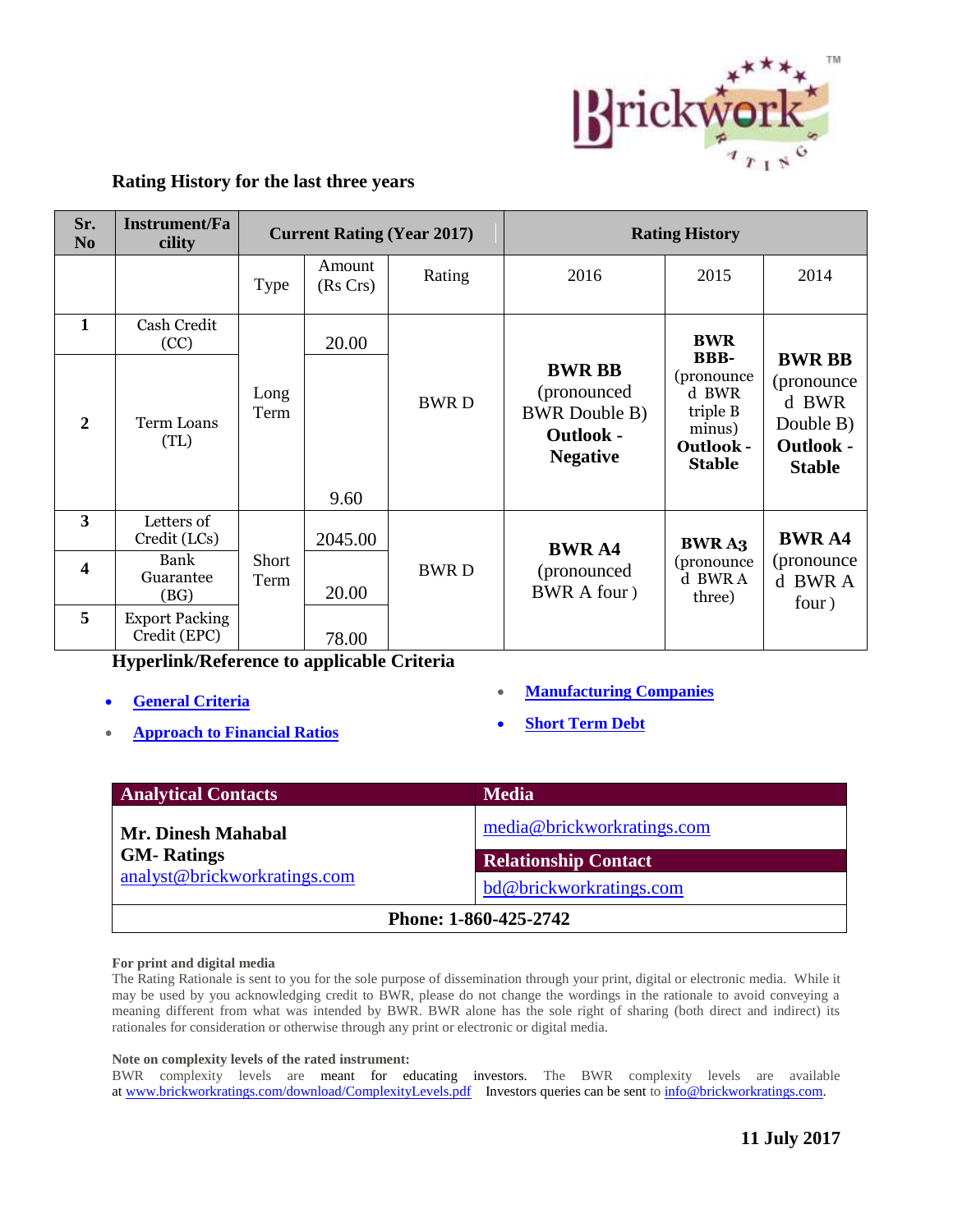

### **Rating History for the last three years**

| Sr.<br>N <sub>0</sub>   | <b>Instrument/Fa</b><br>cility        | <b>Current Rating (Year 2017)</b> |                    |             | <b>Rating History</b>                                                                        |                                                                                                |                                                                                         |
|-------------------------|---------------------------------------|-----------------------------------|--------------------|-------------|----------------------------------------------------------------------------------------------|------------------------------------------------------------------------------------------------|-----------------------------------------------------------------------------------------|
|                         |                                       | Type                              | Amount<br>(Rs Crs) | Rating      | 2016                                                                                         | 2015                                                                                           | 2014                                                                                    |
| 1                       | Cash Credit<br>(CC)                   |                                   | 20.00              |             |                                                                                              | <b>BWR</b>                                                                                     |                                                                                         |
| $\mathbf{2}$            | <b>Term Loans</b><br>(TL)             | Long<br>Term                      | 9.60               | <b>BWRD</b> | <b>BWR BB</b><br>(pronounced)<br><b>BWR</b> Double B)<br><b>Outlook -</b><br><b>Negative</b> | <b>BBB-</b><br>(pronounce)<br>d BWR<br>triple B<br>minus)<br><b>Outlook -</b><br><b>Stable</b> | <b>BWR BB</b><br>(pronounce)<br>d BWR<br>Double B)<br><b>Outlook -</b><br><b>Stable</b> |
| 3                       | Letters of<br>Credit (LCs)            |                                   | 2045.00            | <b>BWRD</b> | <b>BWRA4</b><br>(pronounced)<br>BWR A four )                                                 | <b>BWRA3</b><br>(pronounce<br>d BWR A<br>three)                                                | <b>BWRA4</b><br>(pronounce)<br>d BWR A<br>four)                                         |
| $\overline{\mathbf{4}}$ | Bank<br>Guarantee<br>(BG)             | Short<br>Term                     | 20.00              |             |                                                                                              |                                                                                                |                                                                                         |
| 5                       | <b>Export Packing</b><br>Credit (EPC) |                                   | 78.00              |             |                                                                                              |                                                                                                |                                                                                         |

**Hyperlink/Reference to applicable Criteria** 

- **[General Criteria](http://www.brickworkratings.com/download/Criteria-GeneralCriteria.pdf)**
- **[Approach to Financial Ratios](http://www.brickworkratings.com/download/Criteria-FinancialRatios.pdf)**
- **[Manufacturing Companies](http://www.brickworkratings.com/download/Criteria_ManufacturingCompanies.pdf)**
- **[Short Term Debt](http://www.brickworkratings.com/download/Criteria-ShortTermDebt.pdf)**

| <b>Analytical Contacts</b>   | <b>Media</b>                |  |  |  |
|------------------------------|-----------------------------|--|--|--|
| <b>Mr. Dinesh Mahabal</b>    | media@brickworkratings.com  |  |  |  |
| <b>GM-</b> Ratings           | <b>Relationship Contact</b> |  |  |  |
| analyst@brickworkratings.com | bd@brickworkratings.com     |  |  |  |
| Phone: 1-860-425-2742        |                             |  |  |  |

### **For print and digital media**

The Rating Rationale is sent to you for the sole purpose of dissemination through your print, digital or electronic media. While it may be used by you acknowledging credit to BWR, please do not change the wordings in the rationale to avoid conveying a meaning different from what was intended by BWR. BWR alone has the sole right of sharing (both direct and indirect) its rationales for consideration or otherwise through any print or electronic or digital media.

### **Note on complexity levels of the rated instrument:**

BWR complexity levels are meant for educating investors. The BWR complexity levels are available at [www.brickworkratings.com/download/ComplexityLevels.pdf](http://www.brickworkratings.com/download/ComplexityLevels.pdf) Investors queries can be sent to [info@brickworkratings.com.](mailto:info@brickworkratings.com)